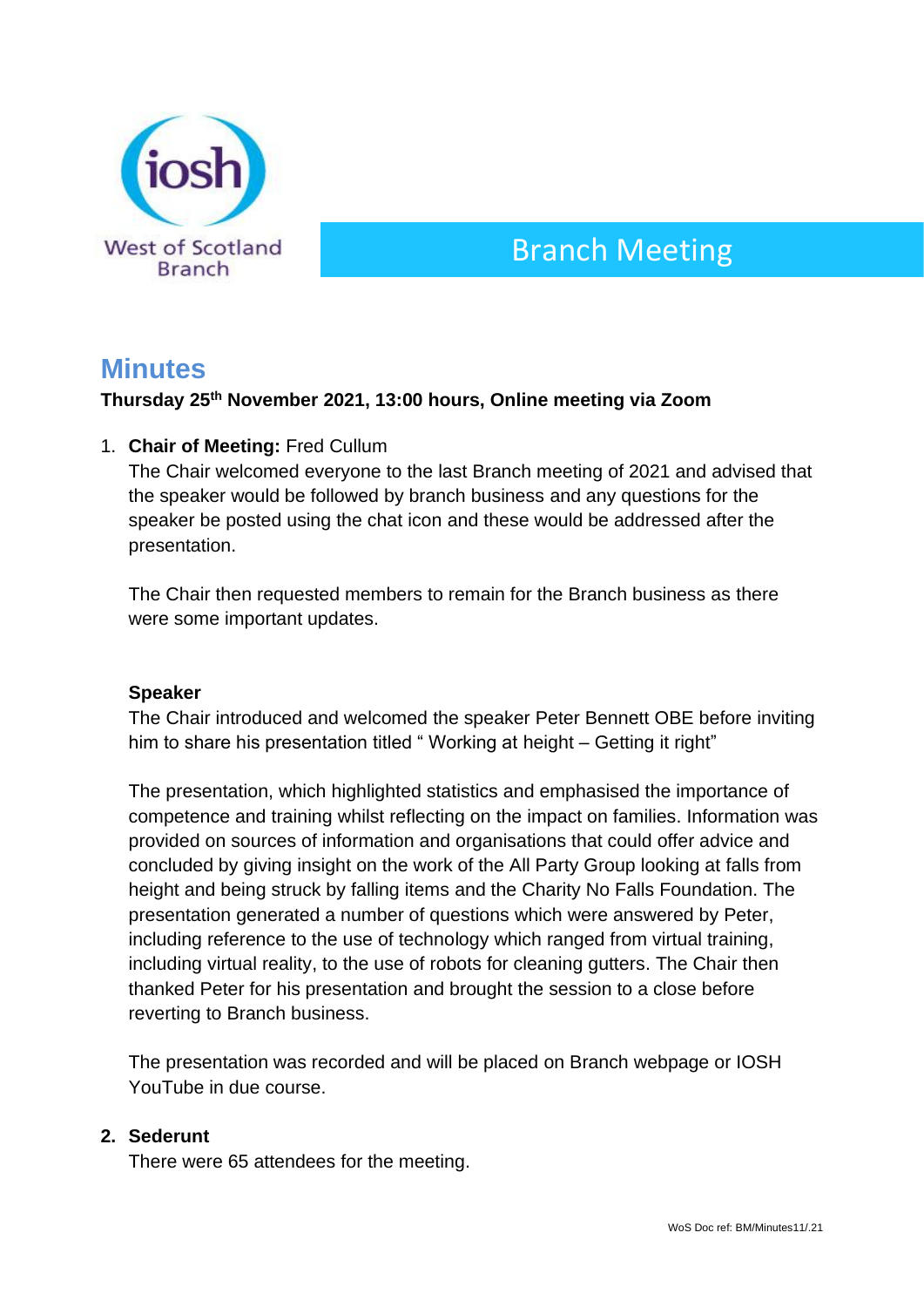

# Branch Meeting

# **Minutes**

# **Thursday 25 th November 2021, 13:00 hours, Online meeting via Zoom**

#### 1. **Chair of Meeting:** Fred Cullum

The Chair welcomed everyone to the last Branch meeting of 2021 and advised that the speaker would be followed by branch business and any questions for the speaker be posted using the chat icon and these would be addressed after the presentation.

The Chair then requested members to remain for the Branch business as there were some important updates.

#### **Speaker**

The Chair introduced and welcomed the speaker Peter Bennett OBE before inviting him to share his presentation titled "Working at height - Getting it right"

The presentation, which highlighted statistics and emphasised the importance of competence and training whilst reflecting on the impact on families. Information was provided on sources of information and organisations that could offer advice and concluded by giving insight on the work of the All Party Group looking at falls from height and being struck by falling items and the Charity No Falls Foundation. The presentation generated a number of questions which were answered by Peter, including reference to the use of technology which ranged from virtual training, including virtual reality, to the use of robots for cleaning gutters. The Chair then thanked Peter for his presentation and brought the session to a close before reverting to Branch business.

The presentation was recorded and will be placed on Branch webpage or IOSH YouTube in due course.

#### **2. Sederunt**

There were 65 attendees for the meeting.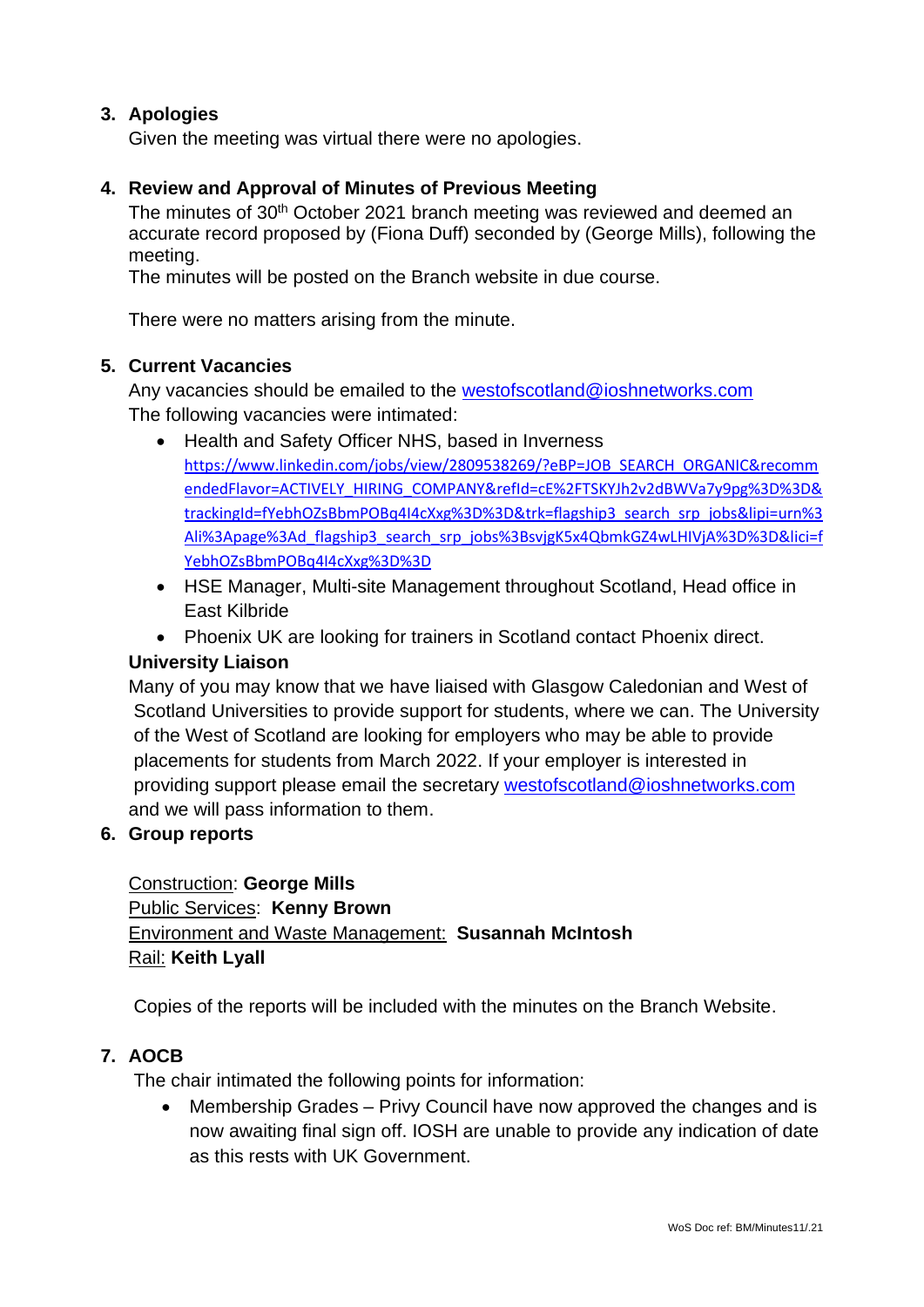# **3. Apologies**

Given the meeting was virtual there were no apologies.

# **4. Review and Approval of Minutes of Previous Meeting**

The minutes of 30th October 2021 branch meeting was reviewed and deemed an accurate record proposed by (Fiona Duff) seconded by (George Mills), following the meeting.

The minutes will be posted on the Branch website in due course.

There were no matters arising from the minute.

# **5. Current Vacancies**

Any vacancies should be emailed to the westofscotland@ioshnetworks.com The following vacancies were intimated:

- Health and Safety Officer NHS, based in Inverness [https://www.linkedin.com/jobs/view/2809538269/?eBP=JOB\\_SEARCH\\_ORGANIC&recomm](https://www.linkedin.com/jobs/view/2809538269/?eBP=JOB_SEARCH_ORGANIC&recommendedFlavor=ACTIVELY_HIRING_COMPANY&refId=cE%2FTSKYJh2v2dBWVa7y9pg%3D%3D&trackingId=fYebhOZsBbmPOBq4I4cXxg%3D%3D&trk=flagship3_search_srp_jobs&lipi=urn%3Ali%3Apage%3Ad_flagship3_search_srp_jobs%3BsvjgK5x4QbmkGZ4wLHIVjA%3D%3D&lici=fYebhOZsBbmPOBq4I4cXxg%3D%3D) [endedFlavor=ACTIVELY\\_HIRING\\_COMPANY&refId=cE%2FTSKYJh2v2dBWVa7y9pg%3D%3D&](https://www.linkedin.com/jobs/view/2809538269/?eBP=JOB_SEARCH_ORGANIC&recommendedFlavor=ACTIVELY_HIRING_COMPANY&refId=cE%2FTSKYJh2v2dBWVa7y9pg%3D%3D&trackingId=fYebhOZsBbmPOBq4I4cXxg%3D%3D&trk=flagship3_search_srp_jobs&lipi=urn%3Ali%3Apage%3Ad_flagship3_search_srp_jobs%3BsvjgK5x4QbmkGZ4wLHIVjA%3D%3D&lici=fYebhOZsBbmPOBq4I4cXxg%3D%3D) [trackingId=fYebhOZsBbmPOBq4I4cXxg%3D%3D&trk=flagship3\\_search\\_srp\\_jobs&lipi=urn%3](https://www.linkedin.com/jobs/view/2809538269/?eBP=JOB_SEARCH_ORGANIC&recommendedFlavor=ACTIVELY_HIRING_COMPANY&refId=cE%2FTSKYJh2v2dBWVa7y9pg%3D%3D&trackingId=fYebhOZsBbmPOBq4I4cXxg%3D%3D&trk=flagship3_search_srp_jobs&lipi=urn%3Ali%3Apage%3Ad_flagship3_search_srp_jobs%3BsvjgK5x4QbmkGZ4wLHIVjA%3D%3D&lici=fYebhOZsBbmPOBq4I4cXxg%3D%3D) [Ali%3Apage%3Ad\\_flagship3\\_search\\_srp\\_jobs%3BsvjgK5x4QbmkGZ4wLHIVjA%3D%3D&lici=f](https://www.linkedin.com/jobs/view/2809538269/?eBP=JOB_SEARCH_ORGANIC&recommendedFlavor=ACTIVELY_HIRING_COMPANY&refId=cE%2FTSKYJh2v2dBWVa7y9pg%3D%3D&trackingId=fYebhOZsBbmPOBq4I4cXxg%3D%3D&trk=flagship3_search_srp_jobs&lipi=urn%3Ali%3Apage%3Ad_flagship3_search_srp_jobs%3BsvjgK5x4QbmkGZ4wLHIVjA%3D%3D&lici=fYebhOZsBbmPOBq4I4cXxg%3D%3D) [YebhOZsBbmPOBq4I4cXxg%3D%3D](https://www.linkedin.com/jobs/view/2809538269/?eBP=JOB_SEARCH_ORGANIC&recommendedFlavor=ACTIVELY_HIRING_COMPANY&refId=cE%2FTSKYJh2v2dBWVa7y9pg%3D%3D&trackingId=fYebhOZsBbmPOBq4I4cXxg%3D%3D&trk=flagship3_search_srp_jobs&lipi=urn%3Ali%3Apage%3Ad_flagship3_search_srp_jobs%3BsvjgK5x4QbmkGZ4wLHIVjA%3D%3D&lici=fYebhOZsBbmPOBq4I4cXxg%3D%3D)
- HSE Manager, Multi-site Management throughout Scotland, Head office in East Kilbride
- Phoenix UK are looking for trainers in Scotland contact Phoenix direct.

# **University Liaison**

Many of you may know that we have liaised with Glasgow Caledonian and West of Scotland Universities to provide support for students, where we can. The University of the West of Scotland are looking for employers who may be able to provide placements for students from March 2022. If your employer is interested in providing support please email the secretary [westofscotland@ioshnetworks.com](mailto:westofscotland@ioshnetworks.com) and we will pass information to them.

# **6. Group reports**

Construction: **George Mills** Public Services: **Kenny Brown** Environment and Waste Management: **Susannah McIntosh** Rail: **Keith Lyall**

Copies of the reports will be included with the minutes on the Branch Website.

# **7. AOCB**

The chair intimated the following points for information:

• Membership Grades – Privy Council have now approved the changes and is now awaiting final sign off. IOSH are unable to provide any indication of date as this rests with UK Government.